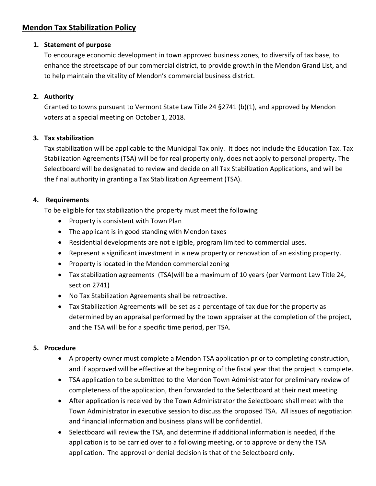# **Mendon Tax Stabilization Policy**

#### **1. Statement of purpose**

To encourage economic development in town approved business zones, to diversify of tax base, to enhance the streetscape of our commercial district, to provide growth in the Mendon Grand List, and to help maintain the vitality of Mendon's commercial business district.

# **2. Authority**

Granted to towns pursuant to Vermont State Law Title 24 §2741 (b)(1), and approved by Mendon voters at a special meeting on October 1, 2018.

## **3. Tax stabilization**

Tax stabilization will be applicable to the Municipal Tax only. It does not include the Education Tax. Tax Stabilization Agreements (TSA) will be for real property only, does not apply to personal property. The Selectboard will be designated to review and decide on all Tax Stabilization Applications, and will be the final authority in granting a Tax Stabilization Agreement (TSA).

## **4. Requirements**

To be eligible for tax stabilization the property must meet the following

- Property is consistent with Town Plan
- The applicant is in good standing with Mendon taxes
- Residential developments are not eligible, program limited to commercial uses.
- Represent a significant investment in a new property or renovation of an existing property.
- Property is located in the Mendon commercial zoning
- Tax stabilization agreements (TSA)will be a maximum of 10 years (per Vermont Law Title 24, section 2741)
- No Tax Stabilization Agreements shall be retroactive.
- Tax Stabilization Agreements will be set as a percentage of tax due for the property as determined by an appraisal performed by the town appraiser at the completion of the project, and the TSA will be for a specific time period, per TSA.

#### **5. Procedure**

- A property owner must complete a Mendon TSA application prior to completing construction, and if approved will be effective at the beginning of the fiscal year that the project is complete.
- TSA application to be submitted to the Mendon Town Administrator for preliminary review of completeness of the application, then forwarded to the Selectboard at their next meeting
- After application is received by the Town Administrator the Selectboard shall meet with the Town Administrator in executive session to discuss the proposed TSA. All issues of negotiation and financial information and business plans will be confidential.
- Selectboard will review the TSA, and determine if additional information is needed, if the application is to be carried over to a following meeting, or to approve or deny the TSA application. The approval or denial decision is that of the Selectboard only.